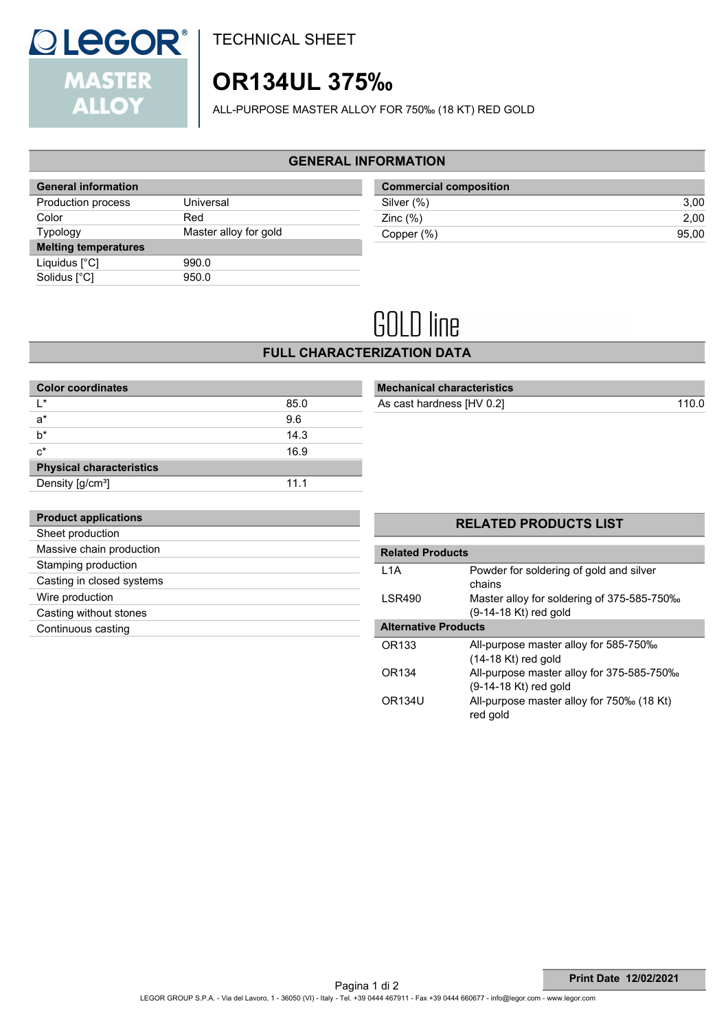

TECHNICAL SHEET

# **OR134UL 375‰**

ALL-PURPOSE MASTER ALLOY FOR 750‰ (18 KT) RED GOLD

## **GENERAL INFORMATION**

| <b>General information</b>  |                       |
|-----------------------------|-----------------------|
| Production process          | Universal             |
| Color                       | Red                   |
| <b>Typology</b>             | Master alloy for gold |
| <b>Melting temperatures</b> |                       |
| Liquidus $[^{\circ}C]$      | 990.0                 |
| Solidus [°C]                | 950.0                 |

| <b>Commercial composition</b> |       |
|-------------------------------|-------|
| Silver (%)                    | 3.00  |
| Zinc $(\%)$                   | 2.00  |
| Copper (%)                    | 95.00 |

# **GOLD** line

**FULL CHARACTERIZATION DATA**

| <b>Color coordinates</b>        |      |  |
|---------------------------------|------|--|
| $\mathsf{I}^*$                  | 85.0 |  |
| $a^*$                           | 9.6  |  |
| h*                              | 14.3 |  |
| $c^*$                           | 16.9 |  |
| <b>Physical characteristics</b> |      |  |
| Density [g/cm <sup>3</sup> ]    | 11.1 |  |

# **Mechanical characteristics** As cast hardness [HV 0.2] 110.0

| <b>Product applications</b> |
|-----------------------------|
| Sheet production            |
| Massive chain production    |
| Stamping production         |
| Casting in closed systems   |
| Wire production             |
| Casting without stones      |
| Continuous casting          |
|                             |

| <b>Related Products</b>     |                                                                     |
|-----------------------------|---------------------------------------------------------------------|
| 1 1 A                       | Powder for soldering of gold and silver<br>chains                   |
| <b>LSR490</b>               | Master alloy for soldering of 375-585-750‰<br>(9-14-18 Kt) red gold |
| <b>Alternative Products</b> |                                                                     |
| OR <sub>133</sub>           | All-purpose master alloy for 585-750‰<br>$(14-18$ Kt) red gold      |
| OR <sub>134</sub>           | All-purpose master alloy for 375-585-750‰<br>(9-14-18 Kt) red gold  |
| OR <sub>134U</sub>          | All-purpose master alloy for 750‰ (18 Kt)<br>red gold               |

**RELATED PRODUCTS LIST**